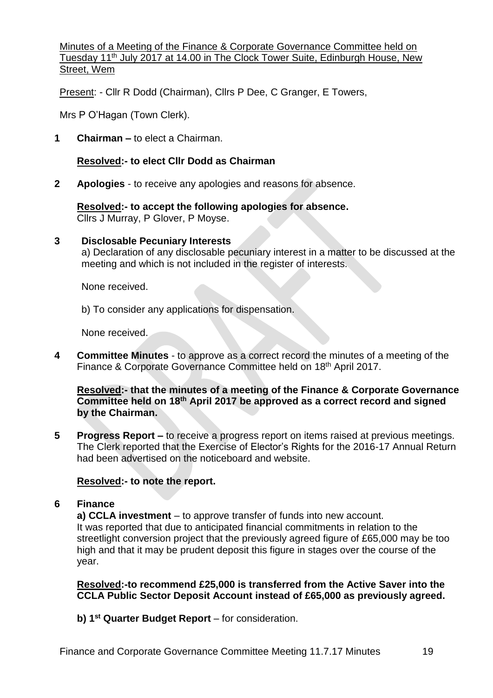Minutes of a Meeting of the Finance & Corporate Governance Committee held on Tuesday 11<sup>th</sup> July 2017 at 14.00 in The Clock Tower Suite, Edinburgh House, New Street, Wem

Present: - Cllr R Dodd (Chairman), Cllrs P Dee, C Granger, E Towers,

Mrs P O'Hagan (Town Clerk).

**1 Chairman –** to elect a Chairman.

## **Resolved:- to elect Cllr Dodd as Chairman**

**2 Apologies** - to receive any apologies and reasons for absence.

**Resolved:- to accept the following apologies for absence.** Cllrs J Murray, P Glover, P Moyse.

#### **3 Disclosable Pecuniary Interests**

a) Declaration of any disclosable pecuniary interest in a matter to be discussed at the meeting and which is not included in the register of interests.

None received.

b) To consider any applications for dispensation.

None received.

**4 Committee Minutes** - to approve as a correct record the minutes of a meeting of the Finance & Corporate Governance Committee held on 18<sup>th</sup> April 2017.

**Resolved:- that the minutes of a meeting of the Finance & Corporate Governance Committee held on 18th April 2017 be approved as a correct record and signed by the Chairman.**

**5 Progress Report –** to receive a progress report on items raised at previous meetings. The Clerk reported that the Exercise of Elector's Rights for the 2016-17 Annual Return had been advertised on the noticeboard and website.

#### **Resolved:- to note the report.**

#### **6 Finance**

**a) CCLA investment** – to approve transfer of funds into new account. It was reported that due to anticipated financial commitments in relation to the streetlight conversion project that the previously agreed figure of £65,000 may be too high and that it may be prudent deposit this figure in stages over the course of the year.

**Resolved:-to recommend £25,000 is transferred from the Active Saver into the CCLA Public Sector Deposit Account instead of £65,000 as previously agreed.**

**b) 1st Quarter Budget Report** – for consideration.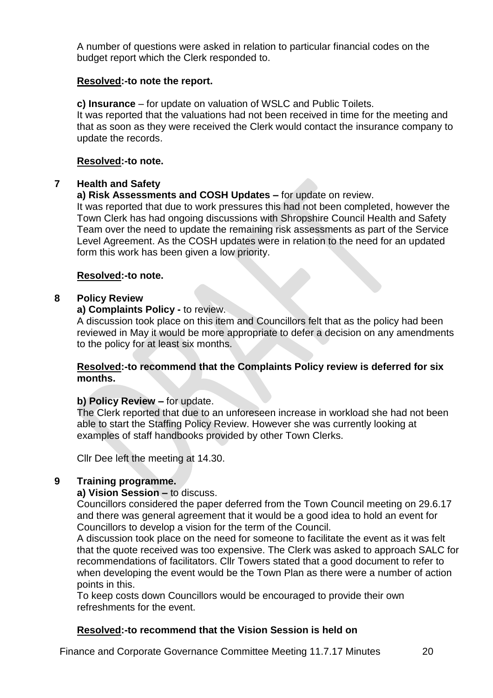A number of questions were asked in relation to particular financial codes on the budget report which the Clerk responded to.

#### **Resolved:-to note the report.**

**c) Insurance** – for update on valuation of WSLC and Public Toilets. It was reported that the valuations had not been received in time for the meeting and that as soon as they were received the Clerk would contact the insurance company to update the records.

#### **Resolved:-to note.**

## **7 Health and Safety**

## **a) Risk Assessments and COSH Updates –** for update on review.

It was reported that due to work pressures this had not been completed, however the Town Clerk has had ongoing discussions with Shropshire Council Health and Safety Team over the need to update the remaining risk assessments as part of the Service Level Agreement. As the COSH updates were in relation to the need for an updated form this work has been given a low priority.

## **Resolved:-to note.**

## **8 Policy Review**

## **a) Complaints Policy -** to review.

A discussion took place on this item and Councillors felt that as the policy had been reviewed in May it would be more appropriate to defer a decision on any amendments to the policy for at least six months.

#### **Resolved:-to recommend that the Complaints Policy review is deferred for six months.**

# **b) Policy Review –** for update.

The Clerk reported that due to an unforeseen increase in workload she had not been able to start the Staffing Policy Review. However she was currently looking at examples of staff handbooks provided by other Town Clerks.

Cllr Dee left the meeting at 14.30.

# **9 Training programme.**

#### **a) Vision Session –** to discuss.

Councillors considered the paper deferred from the Town Council meeting on 29.6.17 and there was general agreement that it would be a good idea to hold an event for Councillors to develop a vision for the term of the Council.

A discussion took place on the need for someone to facilitate the event as it was felt that the quote received was too expensive. The Clerk was asked to approach SALC for recommendations of facilitators. Cllr Towers stated that a good document to refer to when developing the event would be the Town Plan as there were a number of action points in this.

To keep costs down Councillors would be encouraged to provide their own refreshments for the event.

# **Resolved:-to recommend that the Vision Session is held on**

Finance and Corporate Governance Committee Meeting 11.7.17 Minutes 20